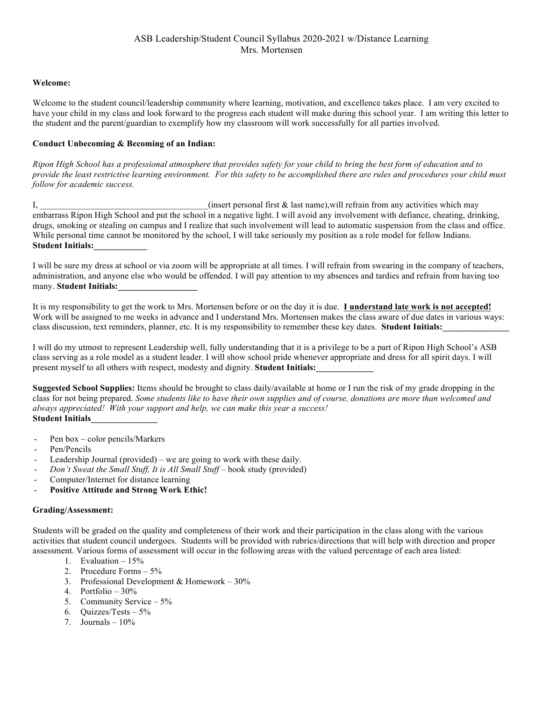# ASB Leadership/Student Council Syllabus 2020-2021 w/Distance Learning Mrs. Mortensen

## **Welcome:**

Welcome to the student council/leadership community where learning, motivation, and excellence takes place. I am very excited to have your child in my class and look forward to the progress each student will make during this school year. I am writing this letter to the student and the parent/guardian to exemplify how my classroom will work successfully for all parties involved.

## **Conduct Unbecoming & Becoming of an Indian:**

*Ripon High School has a professional atmosphere that provides safety for your child to bring the best form of education and to provide the least restrictive learning environment. For this safety to be accomplished there are rules and procedures your child must follow for academic success.* 

I,  $\qquad \qquad$  (insert personal first & last name), will refrain from any activities which may embarrass Ripon High School and put the school in a negative light. I will avoid any involvement with defiance, cheating, drinking, drugs, smoking or stealing on campus and I realize that such involvement will lead to automatic suspension from the class and office. While personal time cannot be monitored by the school, I will take seriously my position as a role model for fellow Indians. **Student Initials:\_\_\_\_\_\_\_\_\_\_\_\_**

I will be sure my dress at school or via zoom will be appropriate at all times. I will refrain from swearing in the company of teachers, administration, and anyone else who would be offended. I will pay attention to my absences and tardies and refrain from having too many. **Student Initials:\_\_\_\_\_\_\_\_\_\_\_\_\_\_\_\_\_\_**

It is my responsibility to get the work to Mrs. Mortensen before or on the day it is due. **I understand late work is not accepted!** Work will be assigned to me weeks in advance and I understand Mrs. Mortensen makes the class aware of due dates in various ways: class discussion, text reminders, planner, etc. It is my responsibility to remember these key dates. **Student Initials:** 

I will do my utmost to represent Leadership well, fully understanding that it is a privilege to be a part of Ripon High School's ASB class serving as a role model as a student leader. I will show school pride whenever appropriate and dress for all spirit days. I will present myself to all others with respect, modesty and dignity. **Student Initials:** 

**Suggested School Supplies:** Items should be brought to class daily/available at home or I run the risk of my grade dropping in the class for not being prepared. *Some students like to have their own supplies and of course, donations are more than welcomed and always appreciated! With your support and help, we can make this year a success!*  **Student Initials\_\_\_\_\_\_\_\_\_\_\_\_\_\_\_**

- Pen box color pencils/Markers
- Pen/Pencils
- Leadership Journal (provided) we are going to work with these daily.
- *Don't Sweat the Small Stuff, It is All Small Stuff –* book study (provided)
- Computer/Internet for distance learning
- **Positive Attitude and Strong Work Ethic!**

### **Grading/Assessment:**

Students will be graded on the quality and completeness of their work and their participation in the class along with the various activities that student council undergoes. Students will be provided with rubrics/directions that will help with direction and proper assessment. Various forms of assessment will occur in the following areas with the valued percentage of each area listed:

- 1. Evaluation 15%
- 2. Procedure Forms 5%
- 3. Professional Development & Homework 30%
- 4. Portfolio 30%
- 5. Community Service 5%
- 6. Quizzes/Tests 5%
- 7. Journals  $-10\%$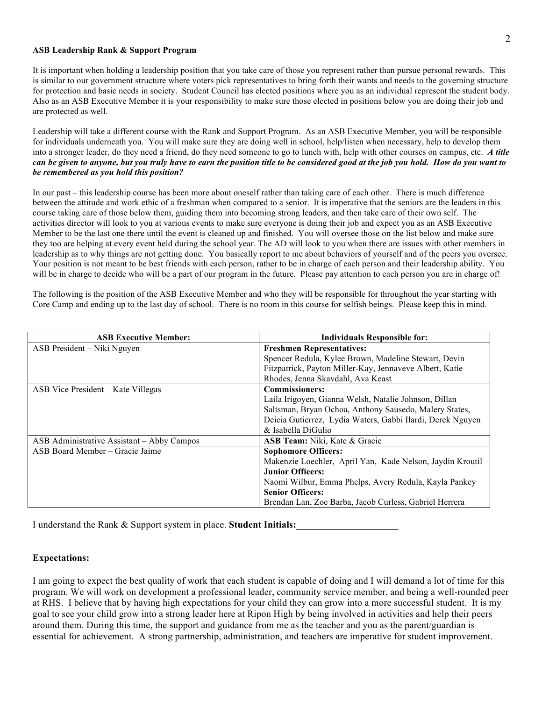#### **ASB Leadership Rank & Support Program**

It is important when holding a leadership position that you take care of those you represent rather than pursue personal rewards. This is similar to our government structure where voters pick representatives to bring forth their wants and needs to the governing structure for protection and basic needs in society. Student Council has elected positions where you as an individual represent the student body. Also as an ASB Executive Member it is your responsibility to make sure those elected in positions below you are doing their job and are protected as well.

Leadership will take a different course with the Rank and Support Program. As an ASB Executive Member, you will be responsible for individuals underneath you. You will make sure they are doing well in school, help/listen when necessary, help to develop them into a stronger leader, do they need a friend, do they need someone to go to lunch with, help with other courses on campus, etc. *A title can be given to anyone, but you truly have to earn the position title to be considered good at the job you hold. How do you want to be remembered as you hold this position?*

In our past – this leadership course has been more about oneself rather than taking care of each other. There is much difference between the attitude and work ethic of a freshman when compared to a senior. It is imperative that the seniors are the leaders in this course taking care of those below them, guiding them into becoming strong leaders, and then take care of their own self. The activities director will look to you at various events to make sure everyone is doing their job and expect you as an ASB Executive Member to be the last one there until the event is cleaned up and finished. You will oversee those on the list below and make sure they too are helping at every event held during the school year. The AD will look to you when there are issues with other members in leadership as to why things are not getting done. You basically report to me about behaviors of yourself and of the peers you oversee. Your position is not meant to be best friends with each person, rather to be in charge of each person and their leadership ability. You will be in charge to decide who will be a part of our program in the future. Please pay attention to each person you are in charge of!

The following is the position of the ASB Executive Member and who they will be responsible for throughout the year starting with Core Camp and ending up to the last day of school. There is no room in this course for selfish beings. Please keep this in mind.

| <b>ASB Executive Member:</b>               | <b>Individuals Responsible for:</b>                        |
|--------------------------------------------|------------------------------------------------------------|
| ASB President – Niki Nguyen                | <b>Freshmen Representatives:</b>                           |
|                                            | Spencer Redula, Kylee Brown, Madeline Stewart, Devin       |
|                                            | Fitzpatrick, Payton Miller-Kay, Jennaveve Albert, Katie    |
|                                            | Rhodes, Jenna Skavdahl, Ava Keast                          |
| ASB Vice President – Kate Villegas         | <b>Commissioners:</b>                                      |
|                                            | Laila Irigoyen, Gianna Welsh, Natalie Johnson, Dillan      |
|                                            | Saltsman, Bryan Ochoa, Anthony Sausedo, Malery States,     |
|                                            | Deicia Gutierrez, Lydia Waters, Gabbi Ilardi, Derek Nguyen |
|                                            | & Isabella DiGulio                                         |
| ASB Administrative Assistant – Abby Campos | <b>ASB Team:</b> Niki, Kate & Gracie                       |
| ASB Board Member - Gracie Jaime            | <b>Sophomore Officers:</b>                                 |
|                                            | Makenzie Loechler, April Yan, Kade Nelson, Jaydin Kroutil  |
|                                            | <b>Junior Officers:</b>                                    |
|                                            | Naomi Wilbur, Emma Phelps, Avery Redula, Kayla Pankey      |
|                                            | <b>Senior Officers:</b>                                    |
|                                            | Brendan Lan, Zoe Barba, Jacob Curless, Gabriel Herrera     |

I understand the Rank & Support system in place. Student Initials:

### **Expectations:**

I am going to expect the best quality of work that each student is capable of doing and I will demand a lot of time for this program. We will work on development a professional leader, community service member, and being a well-rounded peer at RHS. I believe that by having high expectations for your child they can grow into a more successful student. It is my goal to see your child grow into a strong leader here at Ripon High by being involved in activities and help their peers around them. During this time, the support and guidance from me as the teacher and you as the parent/guardian is essential for achievement. A strong partnership, administration, and teachers are imperative for student improvement.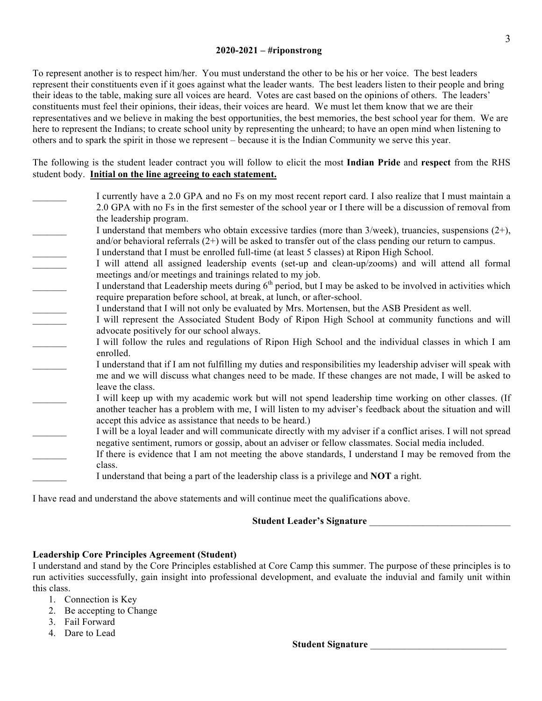## **2020-2021 – #riponstrong**

To represent another is to respect him/her. You must understand the other to be his or her voice. The best leaders represent their constituents even if it goes against what the leader wants. The best leaders listen to their people and bring their ideas to the table, making sure all voices are heard. Votes are cast based on the opinions of others. The leaders' constituents must feel their opinions, their ideas, their voices are heard. We must let them know that we are their representatives and we believe in making the best opportunities, the best memories, the best school year for them. We are here to represent the Indians; to create school unity by representing the unheard; to have an open mind when listening to others and to spark the spirit in those we represent – because it is the Indian Community we serve this year.

The following is the student leader contract you will follow to elicit the most **Indian Pride** and **respect** from the RHS student body. **Initial on the line agreeing to each statement.**

| I currently have a 2.0 GPA and no Fs on my most recent report card. I also realize that I must maintain a<br>2.0 GPA with no Fs in the first semester of the school year or I there will be a discussion of removal from<br>the leadership program.                                                                       |
|---------------------------------------------------------------------------------------------------------------------------------------------------------------------------------------------------------------------------------------------------------------------------------------------------------------------------|
| I understand that members who obtain excessive tardies (more than $3$ /week), truancies, suspensions $(2+)$ ,<br>and/or behavioral referrals $(2+)$ will be asked to transfer out of the class pending our return to campus.<br>I understand that I must be enrolled full-time (at least 5 classes) at Ripon High School. |
| I will attend all assigned leadership events (set-up and clean-up/zooms) and will attend all formal<br>meetings and/or meetings and trainings related to my job.                                                                                                                                                          |
| I understand that Leadership meets during 6 <sup>th</sup> period, but I may be asked to be involved in activities which<br>require preparation before school, at break, at lunch, or after-school.                                                                                                                        |
| I understand that I will not only be evaluated by Mrs. Mortensen, but the ASB President as well.<br>I will represent the Associated Student Body of Ripon High School at community functions and will                                                                                                                     |
| advocate positively for our school always.<br>I will follow the rules and regulations of Ripon High School and the individual classes in which I am                                                                                                                                                                       |
| enrolled.<br>I understand that if I am not fulfilling my duties and responsibilities my leadership adviser will speak with<br>me and we will discuss what changes need to be made. If these changes are not made, I will be asked to                                                                                      |
| leave the class.<br>I will keep up with my academic work but will not spend leadership time working on other classes. (If<br>another teacher has a problem with me, I will listen to my adviser's feedback about the situation and will                                                                                   |
| accept this advice as assistance that needs to be heard.)<br>I will be a loyal leader and will communicate directly with my adviser if a conflict arises. I will not spread<br>negative sentiment, rumors or gossip, about an adviser or fellow classmates. Social media included.                                        |
| If there is evidence that I am not meeting the above standards, I understand I may be removed from the<br>class.                                                                                                                                                                                                          |
| I understand that being a part of the leadership class is a privilege and <b>NOT</b> a right.                                                                                                                                                                                                                             |

I have read and understand the above statements and will continue meet the qualifications above.

## **Student Leader's Signature** \_\_\_\_\_\_\_\_\_\_\_\_\_\_\_\_\_\_\_\_\_\_\_\_\_\_\_\_\_

## **Leadership Core Principles Agreement (Student)**

I understand and stand by the Core Principles established at Core Camp this summer. The purpose of these principles is to run activities successfully, gain insight into professional development, and evaluate the induvial and family unit within this class.

- 1. Connection is Key
- 2. Be accepting to Change
- 3. Fail Forward
- 4. Dare to Lead